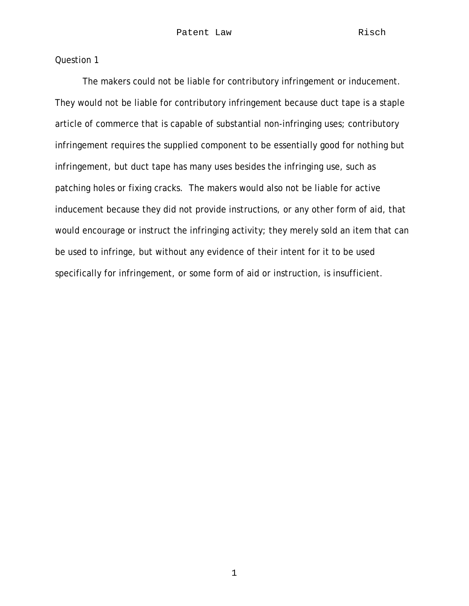The makers could not be liable for contributory infringement or inducement. They would not be liable for contributory infringement because duct tape is a staple article of commerce that is capable of substantial non-infringing uses; contributory infringement requires the supplied component to be essentially good for nothing but infringement, but duct tape has many uses besides the infringing use, such as patching holes or fixing cracks. The makers would also not be liable for active inducement because they did not provide instructions, or any other form of aid, that would encourage or instruct the infringing activity; they merely sold an item that can be used to infringe, but without any evidence of their intent for it to be used specifically for infringement, or some form of aid or instruction, is insufficient.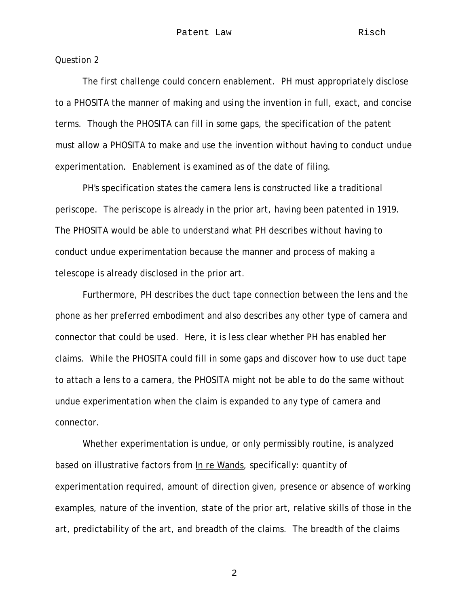The first challenge could concern enablement. PH must appropriately disclose to a PHOSITA the manner of making and using the invention in full, exact, and concise terms. Though the PHOSITA can fill in some gaps, the specification of the patent must allow a PHOSITA to make and use the invention without having to conduct undue experimentation. Enablement is examined as of the date of filing.

 PH's specification states the camera lens is constructed like a traditional periscope. The periscope is already in the prior art, having been patented in 1919. The PHOSITA would be able to understand what PH describes without having to conduct undue experimentation because the manner and process of making a telescope is already disclosed in the prior art.

Furthermore, PH describes the duct tape connection between the lens and the phone as her preferred embodiment and also describes any other type of camera and connector that could be used. Here, it is less clear whether PH has enabled her claims. While the PHOSITA could fill in some gaps and discover how to use duct tape to attach a lens to a camera, the PHOSITA might not be able to do the same without undue experimentation when the claim is expanded to any type of camera and connector.

Whether experimentation is undue, or only permissibly routine, is analyzed based on illustrative factors from In re Wands, specifically: quantity of experimentation required, amount of direction given, presence or absence of working examples, nature of the invention, state of the prior art, relative skills of those in the art, predictability of the art, and breadth of the claims. The breadth of the claims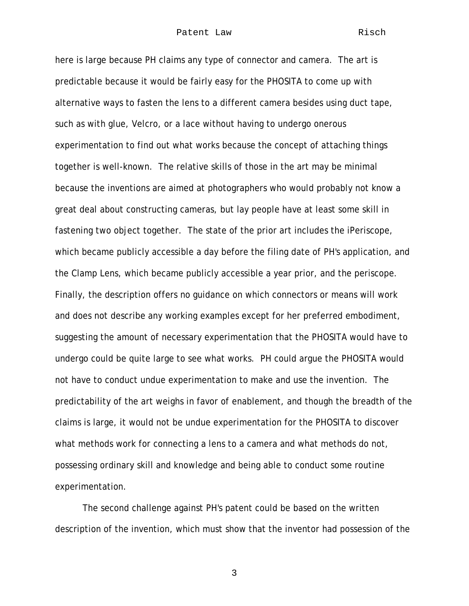here is large because PH claims any type of connector and camera. The art is predictable because it would be fairly easy for the PHOSITA to come up with alternative ways to fasten the lens to a different camera besides using duct tape, such as with glue, Velcro, or a lace without having to undergo onerous experimentation to find out what works because the concept of attaching things together is well-known. The relative skills of those in the art may be minimal because the inventions are aimed at photographers who would probably not know a great deal about constructing cameras, but lay people have at least some skill in fastening two object together. The state of the prior art includes the iPeriscope, which became publicly accessible a day before the filing date of PH's application, and the Clamp Lens, which became publicly accessible a year prior, and the periscope. Finally, the description offers no guidance on which connectors or means will work and does not describe any working examples except for her preferred embodiment, suggesting the amount of necessary experimentation that the PHOSITA would have to undergo could be quite large to see what works. PH could argue the PHOSITA would not have to conduct undue experimentation to make and use the invention. The predictability of the art weighs in favor of enablement, and though the breadth of the claims is large, it would not be undue experimentation for the PHOSITA to discover what methods work for connecting a lens to a camera and what methods do not, possessing ordinary skill and knowledge and being able to conduct some routine experimentation.

The second challenge against PH's patent could be based on the written description of the invention, which must show that the inventor had possession of the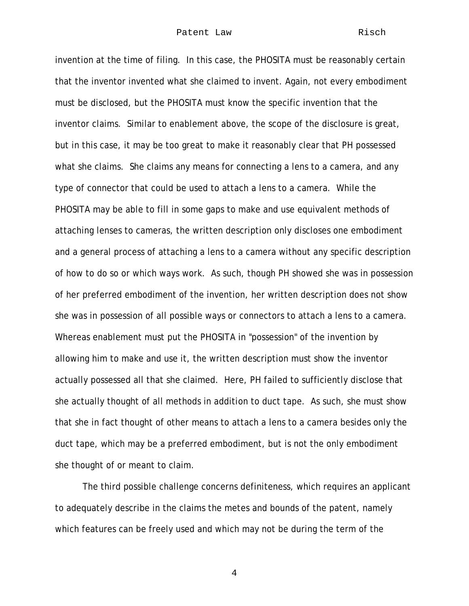invention at the time of filing. In this case, the PHOSITA must be reasonably certain that the inventor invented what she claimed to invent. Again, not every embodiment must be disclosed, but the PHOSITA must know the specific invention that the inventor claims. Similar to enablement above, the scope of the disclosure is great, but in this case, it may be too great to make it reasonably clear that PH possessed what she claims. She claims any means for connecting a lens to a camera, and any type of connector that could be used to attach a lens to a camera. While the PHOSITA may be able to fill in some gaps to make and use equivalent methods of attaching lenses to cameras, the written description only discloses one embodiment and a general process of attaching a lens to a camera without any specific description of how to do so or which ways work. As such, though PH showed she was in possession of her preferred embodiment of the invention, her written description does not show she was in possession of all possible ways or connectors to attach a lens to a camera. Whereas enablement must put the PHOSITA in "possession" of the invention by allowing him to make and use it, the written description must show the inventor actually possessed all that she claimed. Here, PH failed to sufficiently disclose that she actually thought of all methods in addition to duct tape. As such, she must show that she in fact thought of other means to attach a lens to a camera besides only the duct tape, which may be a preferred embodiment, but is not the only embodiment she thought of or meant to claim.

The third possible challenge concerns definiteness, which requires an applicant to adequately describe in the claims the metes and bounds of the patent, namely which features can be freely used and which may not be during the term of the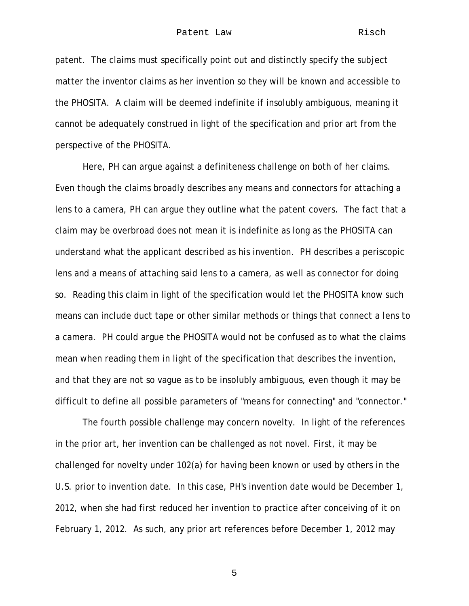patent. The claims must specifically point out and distinctly specify the subject matter the inventor claims as her invention so they will be known and accessible to the PHOSITA. A claim will be deemed indefinite if insolubly ambiguous, meaning it cannot be adequately construed in light of the specification and prior art from the perspective of the PHOSITA.

Here, PH can argue against a definiteness challenge on both of her claims. Even though the claims broadly describes any means and connectors for attaching a lens to a camera, PH can argue they outline what the patent covers. The fact that a claim may be overbroad does not mean it is indefinite as long as the PHOSITA can understand what the applicant described as his invention. PH describes a periscopic lens and a means of attaching said lens to a camera, as well as connector for doing so. Reading this claim in light of the specification would let the PHOSITA know such means can include duct tape or other similar methods or things that connect a lens to a camera. PH could argue the PHOSITA would not be confused as to what the claims mean when reading them in light of the specification that describes the invention, and that they are not so vague as to be insolubly ambiguous, even though it may be difficult to define all possible parameters of "means for connecting" and "connector."

The fourth possible challenge may concern novelty. In light of the references in the prior art, her invention can be challenged as not novel. First, it may be challenged for novelty under 102(a) for having been known or used by others in the U.S. prior to invention date. In this case, PH's invention date would be December 1, 2012, when she had first reduced her invention to practice after conceiving of it on February 1, 2012. As such, any prior art references before December 1, 2012 may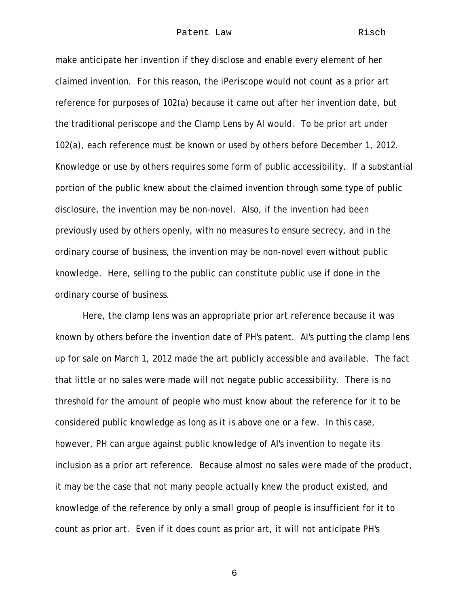## Patent Law Risch

make anticipate her invention if they disclose and enable every element of her claimed invention. For this reason, the iPeriscope would not count as a prior art reference for purposes of 102(a) because it came out after her invention date, but the traditional periscope and the Clamp Lens by AI would. To be prior art under 102(a), each reference must be known or used by others before December 1, 2012. Knowledge or use by others requires some form of public accessibility. If a substantial portion of the public knew about the claimed invention through some type of public disclosure, the invention may be non-novel. Also, if the invention had been previously used by others openly, with no measures to ensure secrecy, and in the ordinary course of business, the invention may be non-novel even without public knowledge. Here, selling to the public can constitute public use if done in the ordinary course of business.

Here, the clamp lens was an appropriate prior art reference because it was known by others before the invention date of PH's patent. AI's putting the clamp lens up for sale on March 1, 2012 made the art publicly accessible and available. The fact that little or no sales were made will not negate public accessibility. There is no threshold for the amount of people who must know about the reference for it to be considered public knowledge as long as it is above one or a few. In this case, however, PH can argue against public knowledge of AI's invention to negate its inclusion as a prior art reference. Because almost no sales were made of the product, it may be the case that not many people actually knew the product existed, and knowledge of the reference by only a small group of people is insufficient for it to count as prior art. Even if it does count as prior art, it will not anticipate PH's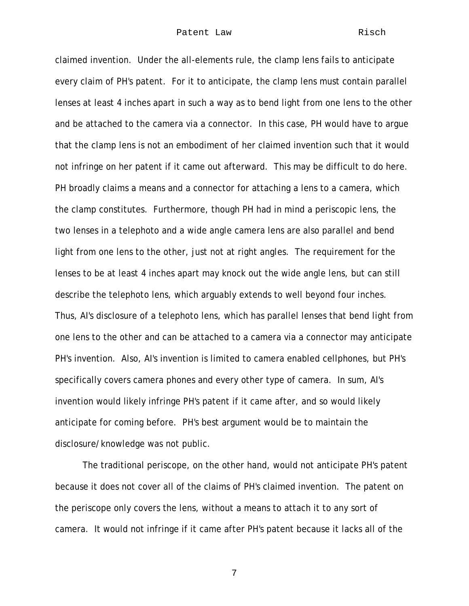claimed invention. Under the all-elements rule, the clamp lens fails to anticipate every claim of PH's patent. For it to anticipate, the clamp lens must contain parallel lenses at least 4 inches apart in such a way as to bend light from one lens to the other and be attached to the camera via a connector. In this case, PH would have to argue that the clamp lens is not an embodiment of her claimed invention such that it would not infringe on her patent if it came out afterward. This may be difficult to do here. PH broadly claims a means and a connector for attaching a lens to a camera, which the clamp constitutes. Furthermore, though PH had in mind a periscopic lens, the two lenses in a telephoto and a wide angle camera lens are also parallel and bend light from one lens to the other, just not at right angles. The requirement for the lenses to be at least 4 inches apart may knock out the wide angle lens, but can still describe the telephoto lens, which arguably extends to well beyond four inches. Thus, AI's disclosure of a telephoto lens, which has parallel lenses that bend light from one lens to the other and can be attached to a camera via a connector may anticipate PH's invention. Also, AI's invention is limited to camera enabled cellphones, but PH's specifically covers camera phones and every other type of camera. In sum, AI's invention would likely infringe PH's patent if it came after, and so would likely anticipate for coming before. PH's best argument would be to maintain the disclosure/knowledge was not public.

The traditional periscope, on the other hand, would not anticipate PH's patent because it does not cover all of the claims of PH's claimed invention. The patent on the periscope only covers the lens, without a means to attach it to any sort of camera. It would not infringe if it came after PH's patent because it lacks all of the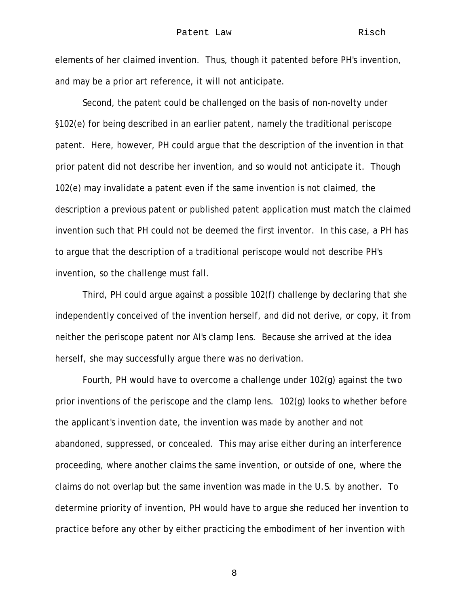elements of her claimed invention. Thus, though it patented before PH's invention, and may be a prior art reference, it will not anticipate.

Second, the patent could be challenged on the basis of non-novelty under §102(e) for being described in an earlier patent, namely the traditional periscope patent. Here, however, PH could argue that the description of the invention in that prior patent did not describe her invention, and so would not anticipate it. Though 102(e) may invalidate a patent even if the same invention is not claimed, the description a previous patent or published patent application must match the claimed invention such that PH could not be deemed the first inventor. In this case, a PH has to argue that the description of a traditional periscope would not describe PH's invention, so the challenge must fall.

Third, PH could argue against a possible 102(f) challenge by declaring that she independently conceived of the invention herself, and did not derive, or copy, it from neither the periscope patent nor AI's clamp lens. Because she arrived at the idea herself, she may successfully argue there was no derivation.

Fourth, PH would have to overcome a challenge under 102(g) against the two prior inventions of the periscope and the clamp lens. 102(g) looks to whether before the applicant's invention date, the invention was made by another and not abandoned, suppressed, or concealed. This may arise either during an interference proceeding, where another claims the same invention, or outside of one, where the claims do not overlap but the same invention was made in the U.S. by another. To determine priority of invention, PH would have to argue she reduced her invention to practice before any other by either practicing the embodiment of her invention with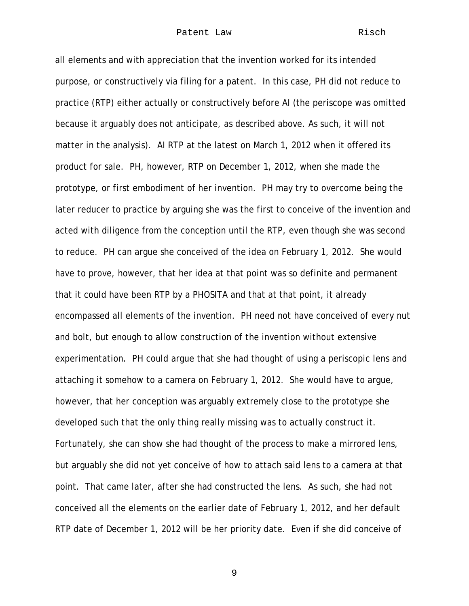## Patent Law Risch

all elements and with appreciation that the invention worked for its intended purpose, or constructively via filing for a patent. In this case, PH did not reduce to practice (RTP) either actually or constructively before AI (the periscope was omitted because it arguably does not anticipate, as described above. As such, it will not matter in the analysis). AI RTP at the latest on March 1, 2012 when it offered its product for sale. PH, however, RTP on December 1, 2012, when she made the prototype, or first embodiment of her invention. PH may try to overcome being the later reducer to practice by arguing she was the first to conceive of the invention and acted with diligence from the conception until the RTP, even though she was second to reduce. PH can argue she conceived of the idea on February 1, 2012. She would have to prove, however, that her idea at that point was so definite and permanent that it could have been RTP by a PHOSITA and that at that point, it already encompassed all elements of the invention. PH need not have conceived of every nut and bolt, but enough to allow construction of the invention without extensive experimentation. PH could argue that she had thought of using a periscopic lens and attaching it somehow to a camera on February 1, 2012. She would have to argue, however, that her conception was arguably extremely close to the prototype she developed such that the only thing really missing was to actually construct it. Fortunately, she can show she had thought of the process to make a mirrored lens, but arguably she did not yet conceive of how to attach said lens to a camera at that point. That came later, after she had constructed the lens. As such, she had not conceived all the elements on the earlier date of February 1, 2012, and her default RTP date of December 1, 2012 will be her priority date. Even if she did conceive of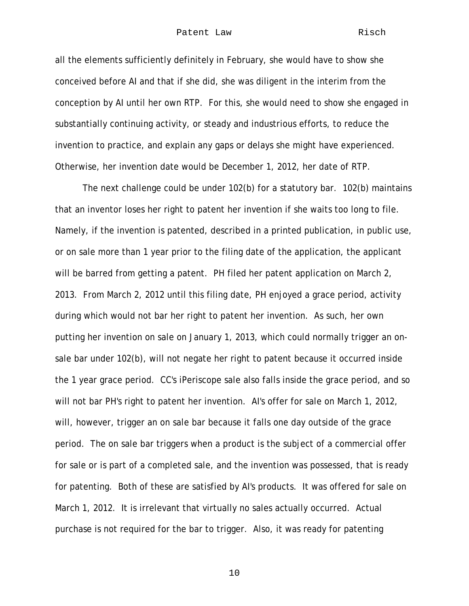## Patent Law Risch

all the elements sufficiently definitely in February, she would have to show she conceived before AI and that if she did, she was diligent in the interim from the conception by AI until her own RTP. For this, she would need to show she engaged in substantially continuing activity, or steady and industrious efforts, to reduce the invention to practice, and explain any gaps or delays she might have experienced. Otherwise, her invention date would be December 1, 2012, her date of RTP.

The next challenge could be under 102(b) for a statutory bar. 102(b) maintains that an inventor loses her right to patent her invention if she waits too long to file. Namely, if the invention is patented, described in a printed publication, in public use, or on sale more than 1 year prior to the filing date of the application, the applicant will be barred from getting a patent. PH filed her patent application on March 2, 2013. From March 2, 2012 until this filing date, PH enjoyed a grace period, activity during which would not bar her right to patent her invention. As such, her own putting her invention on sale on January 1, 2013, which could normally trigger an onsale bar under 102(b), will not negate her right to patent because it occurred inside the 1 year grace period. CC's iPeriscope sale also falls inside the grace period, and so will not bar PH's right to patent her invention. AI's offer for sale on March 1, 2012, will, however, trigger an on sale bar because it falls one day outside of the grace period. The on sale bar triggers when a product is the subject of a commercial offer for sale or is part of a completed sale, and the invention was possessed, that is ready for patenting. Both of these are satisfied by AI's products. It was offered for sale on March 1, 2012. It is irrelevant that virtually no sales actually occurred. Actual purchase is not required for the bar to trigger. Also, it was ready for patenting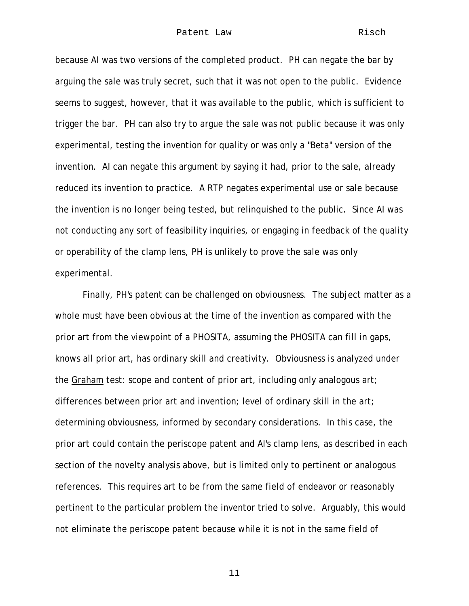because AI was two versions of the completed product. PH can negate the bar by arguing the sale was truly secret, such that it was not open to the public. Evidence seems to suggest, however, that it was available to the public, which is sufficient to trigger the bar. PH can also try to argue the sale was not public because it was only experimental, testing the invention for quality or was only a "Beta" version of the invention. AI can negate this argument by saying it had, prior to the sale, already reduced its invention to practice. A RTP negates experimental use or sale because the invention is no longer being tested, but relinquished to the public. Since AI was not conducting any sort of feasibility inquiries, or engaging in feedback of the quality or operability of the clamp lens, PH is unlikely to prove the sale was only experimental.

 Finally, PH's patent can be challenged on obviousness. The subject matter as a whole must have been obvious at the time of the invention as compared with the prior art from the viewpoint of a PHOSITA, assuming the PHOSITA can fill in gaps, knows all prior art, has ordinary skill and creativity. Obviousness is analyzed under the Graham test: scope and content of prior art, including only analogous art; differences between prior art and invention; level of ordinary skill in the art; determining obviousness, informed by secondary considerations. In this case, the prior art could contain the periscope patent and AI's clamp lens, as described in each section of the novelty analysis above, but is limited only to pertinent or analogous references. This requires art to be from the same field of endeavor or reasonably pertinent to the particular problem the inventor tried to solve. Arguably, this would not eliminate the periscope patent because while it is not in the same field of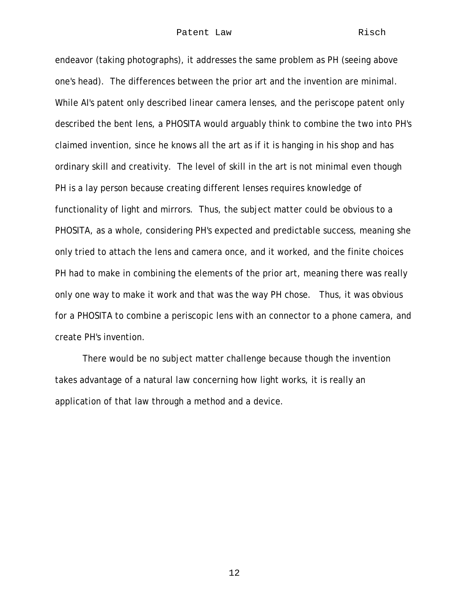endeavor (taking photographs), it addresses the same problem as PH (seeing above one's head). The differences between the prior art and the invention are minimal. While AI's patent only described linear camera lenses, and the periscope patent only described the bent lens, a PHOSITA would arguably think to combine the two into PH's claimed invention, since he knows all the art as if it is hanging in his shop and has ordinary skill and creativity. The level of skill in the art is not minimal even though PH is a lay person because creating different lenses requires knowledge of functionality of light and mirrors. Thus, the subject matter could be obvious to a PHOSITA, as a whole, considering PH's expected and predictable success, meaning she only tried to attach the lens and camera once, and it worked, and the finite choices PH had to make in combining the elements of the prior art, meaning there was really only one way to make it work and that was the way PH chose. Thus, it was obvious for a PHOSITA to combine a periscopic lens with an connector to a phone camera, and create PH's invention.

 There would be no subject matter challenge because though the invention takes advantage of a natural law concerning how light works, it is really an application of that law through a method and a device.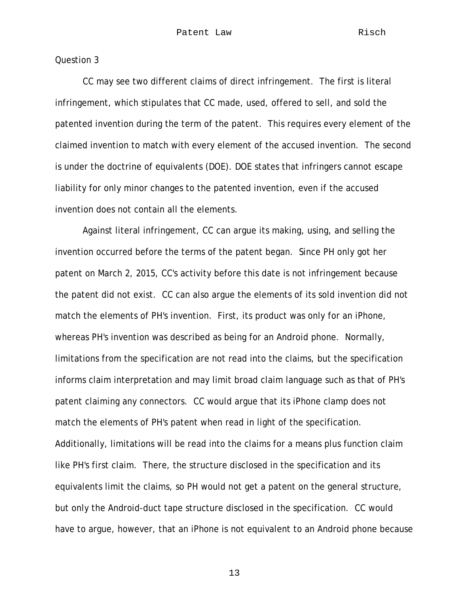CC may see two different claims of direct infringement. The first is literal infringement, which stipulates that CC made, used, offered to sell, and sold the patented invention during the term of the patent. This requires every element of the claimed invention to match with every element of the accused invention. The second is under the doctrine of equivalents (DOE). DOE states that infringers cannot escape liability for only minor changes to the patented invention, even if the accused invention does not contain all the elements.

 Against literal infringement, CC can argue its making, using, and selling the invention occurred before the terms of the patent began. Since PH only got her patent on March 2, 2015, CC's activity before this date is not infringement because the patent did not exist. CC can also argue the elements of its sold invention did not match the elements of PH's invention. First, its product was only for an iPhone, whereas PH's invention was described as being for an Android phone. Normally, limitations from the specification are not read into the claims, but the specification informs claim interpretation and may limit broad claim language such as that of PH's patent claiming any connectors. CC would argue that its iPhone clamp does not match the elements of PH's patent when read in light of the specification. Additionally, limitations will be read into the claims for a means plus function claim like PH's first claim. There, the structure disclosed in the specification and its equivalents limit the claims, so PH would not get a patent on the general structure, but only the Android-duct tape structure disclosed in the specification. CC would have to argue, however, that an iPhone is not equivalent to an Android phone because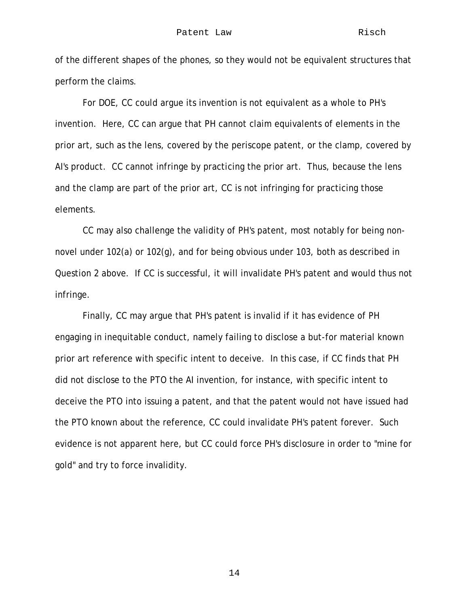of the different shapes of the phones, so they would not be equivalent structures that perform the claims.

 For DOE, CC could argue its invention is not equivalent as a whole to PH's invention. Here, CC can argue that PH cannot claim equivalents of elements in the prior art, such as the lens, covered by the periscope patent, or the clamp, covered by AI's product. CC cannot infringe by practicing the prior art. Thus, because the lens and the clamp are part of the prior art, CC is not infringing for practicing those elements.

 CC may also challenge the validity of PH's patent, most notably for being nonnovel under 102(a) or 102(g), and for being obvious under 103, both as described in Question 2 above. If CC is successful, it will invalidate PH's patent and would thus not infringe.

 Finally, CC may argue that PH's patent is invalid if it has evidence of PH engaging in inequitable conduct, namely failing to disclose a but-for material known prior art reference with specific intent to deceive. In this case, if CC finds that PH did not disclose to the PTO the AI invention, for instance, with specific intent to deceive the PTO into issuing a patent, and that the patent would not have issued had the PTO known about the reference, CC could invalidate PH's patent forever. Such evidence is not apparent here, but CC could force PH's disclosure in order to "mine for gold" and try to force invalidity.